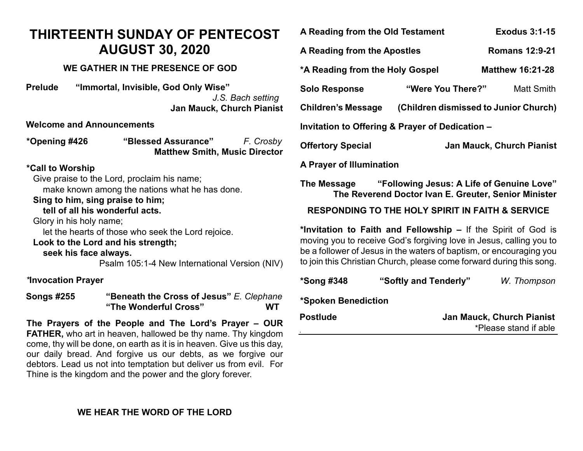# **THIRTEENTH SUNDAY OF PENTECOST AUGUST 30, 2020**

# **WE GATHER IN THE PRESENCE OF GOD**

**Prelude "Immortal, Invisible, God Only Wise"** *J.S. Bach setting* **Jan Mauck, Church Pianist**

**Welcome and Announcements**

| *Opening #426 | "Blessed Assurance"                  | F. Crosby |
|---------------|--------------------------------------|-----------|
|               | <b>Matthew Smith, Music Director</b> |           |

## **\*Call to Worship**

Give praise to the Lord, proclaim his name;

make known among the nations what he has done.

## **Sing to him, sing praise to him;**

 **tell of all his wonderful acts.**

Glory in his holy name;

let the hearts of those who seek the Lord rejoice.

#### **Look to the Lord and his strength;**

 **seek his face always.**

Psalm 105:1-4 New International Version (NIV)

#### *\****Invocation Prayer**

**Songs #255 "Beneath the Cross of Jesus"** *E. Clephane* **"The Wonderful Cross" WT**

**The Prayers of the People and The Lord's Prayer – OUR FATHER,** who art in heaven, hallowed be thy name. Thy kingdom come, thy will be done, on earth as it is in heaven. Give us this day, our daily bread. And forgive us our debts, as we forgive our debtors. Lead us not into temptation but deliver us from evil. For Thine is the kingdom and the power and the glory forever.

| A Reading from the Old Testament                                                                                                                                                                                                                                                    |                       | <b>Exodus 3:1-15</b>                                      |  |  |
|-------------------------------------------------------------------------------------------------------------------------------------------------------------------------------------------------------------------------------------------------------------------------------------|-----------------------|-----------------------------------------------------------|--|--|
| A Reading from the Apostles                                                                                                                                                                                                                                                         |                       | <b>Romans 12:9-21</b>                                     |  |  |
| *A Reading from the Holy Gospel<br><b>Matthew 16:21-28</b>                                                                                                                                                                                                                          |                       |                                                           |  |  |
| <b>Solo Response</b>                                                                                                                                                                                                                                                                | "Were You There?"     | <b>Matt Smith</b>                                         |  |  |
| <b>Children's Message</b>                                                                                                                                                                                                                                                           |                       | (Children dismissed to Junior Church)                     |  |  |
| Invitation to Offering & Prayer of Dedication -                                                                                                                                                                                                                                     |                       |                                                           |  |  |
| <b>Offertory Special</b>                                                                                                                                                                                                                                                            |                       | <b>Jan Mauck, Church Pianist</b>                          |  |  |
| A Prayer of Illumination                                                                                                                                                                                                                                                            |                       |                                                           |  |  |
| "Following Jesus: A Life of Genuine Love"<br>The Message<br>The Reverend Doctor Ivan E. Greuter, Senior Minister                                                                                                                                                                    |                       |                                                           |  |  |
| <b>RESPONDING TO THE HOLY SPIRIT IN FAITH &amp; SERVICE</b>                                                                                                                                                                                                                         |                       |                                                           |  |  |
| *Invitation to Faith and Fellowship – If the Spirit of God is<br>moving you to receive God's forgiving love in Jesus, calling you to<br>be a follower of Jesus in the waters of baptism, or encouraging you<br>to join this Christian Church, please come forward during this song. |                       |                                                           |  |  |
| *Song #348                                                                                                                                                                                                                                                                          | "Softly and Tenderly" | W. Thompson                                               |  |  |
| *Spoken Benediction                                                                                                                                                                                                                                                                 |                       |                                                           |  |  |
| <b>Postlude</b>                                                                                                                                                                                                                                                                     |                       | <b>Jan Mauck, Church Pianist</b><br>*Please stand if able |  |  |

## **WE HEAR THE WORD OF THE LORD**